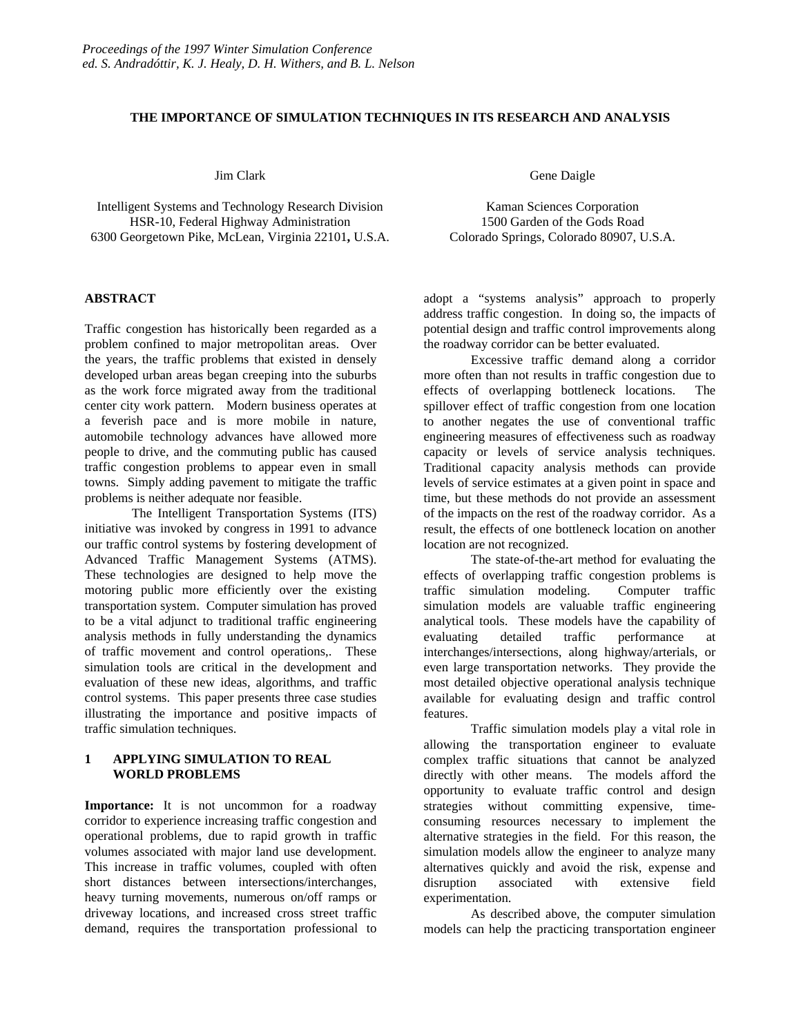# **THE IMPORTANCE OF SIMULATION TECHNIQUES IN ITS RESEARCH AND ANALYSIS**

Intelligent Systems and Technology Research Division HSR-10, Federal Highway Administration 6300 Georgetown Pike, McLean, Virginia 22101**,** U.S.A.

### **ABSTRACT**

Traffic congestion has historically been regarded as a problem confined to major metropolitan areas. Over the years, the traffic problems that existed in densely developed urban areas began creeping into the suburbs as the work force migrated away from the traditional center city work pattern. Modern business operates at a feverish pace and is more mobile in nature, automobile technology advances have allowed more people to drive, and the commuting public has caused traffic congestion problems to appear even in small towns. Simply adding pavement to mitigate the traffic problems is neither adequate nor feasible.

The Intelligent Transportation Systems (ITS) initiative was invoked by congress in 1991 to advance our traffic control systems by fostering development of Advanced Traffic Management Systems (ATMS). These technologies are designed to help move the motoring public more efficiently over the existing transportation system. Computer simulation has proved to be a vital adjunct to traditional traffic engineering analysis methods in fully understanding the dynamics of traffic movement and control operations,. These simulation tools are critical in the development and evaluation of these new ideas, algorithms, and traffic control systems. This paper presents three case studies illustrating the importance and positive impacts of traffic simulation techniques.

#### **1 APPLYING SIMULATION TO REAL WORLD PROBLEMS**

**Importance:** It is not uncommon for a roadway corridor to experience increasing traffic congestion and operational problems, due to rapid growth in traffic volumes associated with major land use development. This increase in traffic volumes, coupled with often short distances between intersections/interchanges, heavy turning movements, numerous on/off ramps or driveway locations, and increased cross street traffic demand, requires the transportation professional to

Jim Clark Gene Daigle

Kaman Sciences Corporation 1500 Garden of the Gods Road Colorado Springs, Colorado 80907, U.S.A.

adopt a "systems analysis" approach to properly address traffic congestion. In doing so, the impacts of potential design and traffic control improvements along the roadway corridor can be better evaluated.

Excessive traffic demand along a corridor more often than not results in traffic congestion due to effects of overlapping bottleneck locations. The spillover effect of traffic congestion from one location to another negates the use of conventional traffic engineering measures of effectiveness such as roadway capacity or levels of service analysis techniques. Traditional capacity analysis methods can provide levels of service estimates at a given point in space and time, but these methods do not provide an assessment of the impacts on the rest of the roadway corridor. As a result, the effects of one bottleneck location on another location are not recognized.

The state-of-the-art method for evaluating the effects of overlapping traffic congestion problems is traffic simulation modeling. Computer traffic simulation models are valuable traffic engineering analytical tools. These models have the capability of evaluating detailed traffic performance at interchanges/intersections, along highway/arterials, or even large transportation networks. They provide the most detailed objective operational analysis technique available for evaluating design and traffic control features.

Traffic simulation models play a vital role in allowing the transportation engineer to evaluate complex traffic situations that cannot be analyzed directly with other means. The models afford the opportunity to evaluate traffic control and design strategies without committing expensive, timeconsuming resources necessary to implement the alternative strategies in the field. For this reason, the simulation models allow the engineer to analyze many alternatives quickly and avoid the risk, expense and disruption associated with extensive field experimentation.

As described above, the computer simulation models can help the practicing transportation engineer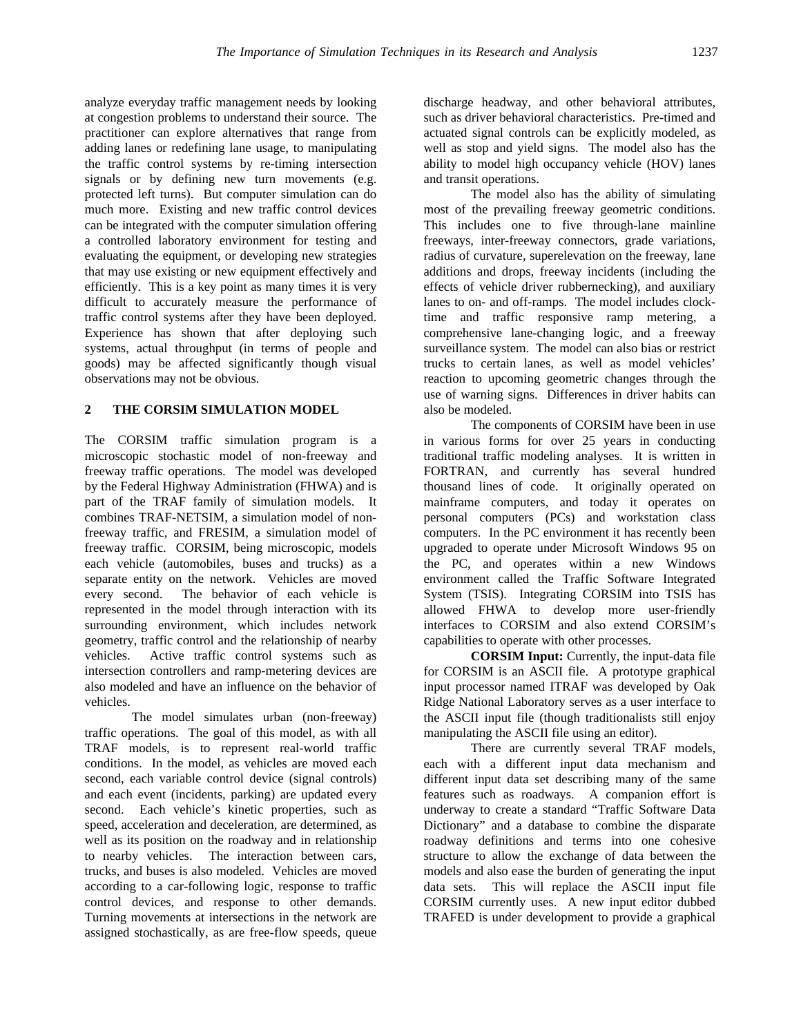analyze everyday traffic management needs by looking at congestion problems to understand their source. The practitioner can explore alternatives that range from adding lanes or redefining lane usage, to manipulating the traffic control systems by re-timing intersection signals or by defining new turn movements (e.g. protected left turns). But computer simulation can do much more. Existing and new traffic control devices can be integrated with the computer simulation offering a controlled laboratory environment for testing and evaluating the equipment, or developing new strategies that may use existing or new equipment effectively and efficiently. This is a key point as many times it is very difficult to accurately measure the performance of traffic control systems after they have been deployed. Experience has shown that after deploying such systems, actual throughput (in terms of people and goods) may be affected significantly though visual observations may not be obvious.

## **2 THE CORSIM SIMULATION MODEL**

The CORSIM traffic simulation program is a microscopic stochastic model of non-freeway and freeway traffic operations. The model was developed by the Federal Highway Administration (FHWA) and is part of the TRAF family of simulation models. It combines TRAF-NETSIM, a simulation model of nonfreeway traffic, and FRESIM, a simulation model of freeway traffic. CORSIM, being microscopic, models each vehicle (automobiles, buses and trucks) as a separate entity on the network. Vehicles are moved every second. The behavior of each vehicle is represented in the model through interaction with its surrounding environment, which includes network geometry, traffic control and the relationship of nearby vehicles. Active traffic control systems such as intersection controllers and ramp-metering devices are also modeled and have an influence on the behavior of vehicles.

The model simulates urban (non-freeway) traffic operations. The goal of this model, as with all TRAF models, is to represent real-world traffic conditions. In the model, as vehicles are moved each second, each variable control device (signal controls) and each event (incidents, parking) are updated every second. Each vehicle's kinetic properties, such as speed, acceleration and deceleration, are determined, as well as its position on the roadway and in relationship to nearby vehicles. The interaction between cars, trucks, and buses is also modeled. Vehicles are moved according to a car-following logic, response to traffic control devices, and response to other demands. Turning movements at intersections in the network are assigned stochastically, as are free-flow speeds, queue

discharge headway, and other behavioral attributes, such as driver behavioral characteristics. Pre-timed and actuated signal controls can be explicitly modeled, as well as stop and yield signs. The model also has the ability to model high occupancy vehicle (HOV) lanes and transit operations.

The model also has the ability of simulating most of the prevailing freeway geometric conditions. This includes one to five through-lane mainline freeways, inter-freeway connectors, grade variations, radius of curvature, superelevation on the freeway, lane additions and drops, freeway incidents (including the effects of vehicle driver rubbernecking), and auxiliary lanes to on- and off-ramps. The model includes clocktime and traffic responsive ramp metering, a comprehensive lane-changing logic, and a freeway surveillance system. The model can also bias or restrict trucks to certain lanes, as well as model vehicles' reaction to upcoming geometric changes through the use of warning signs. Differences in driver habits can also be modeled.

The components of CORSIM have been in use in various forms for over 25 years in conducting traditional traffic modeling analyses. It is written in FORTRAN, and currently has several hundred thousand lines of code. It originally operated on mainframe computers, and today it operates on personal computers (PCs) and workstation class computers. In the PC environment it has recently been upgraded to operate under Microsoft Windows 95 on the PC, and operates within a new Windows environment called the Traffic Software Integrated System (TSIS). Integrating CORSIM into TSIS has allowed FHWA to develop more user-friendly interfaces to CORSIM and also extend CORSIM's capabilities to operate with other processes.

**CORSIM Input:** Currently, the input-data file for CORSIM is an ASCII file. A prototype graphical input processor named ITRAF was developed by Oak Ridge National Laboratory serves as a user interface to the ASCII input file (though traditionalists still enjoy manipulating the ASCII file using an editor).

There are currently several TRAF models, each with a different input data mechanism and different input data set describing many of the same features such as roadways. A companion effort is underway to create a standard "Traffic Software Data Dictionary" and a database to combine the disparate roadway definitions and terms into one cohesive structure to allow the exchange of data between the models and also ease the burden of generating the input data sets. This will replace the ASCII input file CORSIM currently uses. A new input editor dubbed TRAFED is under development to provide a graphical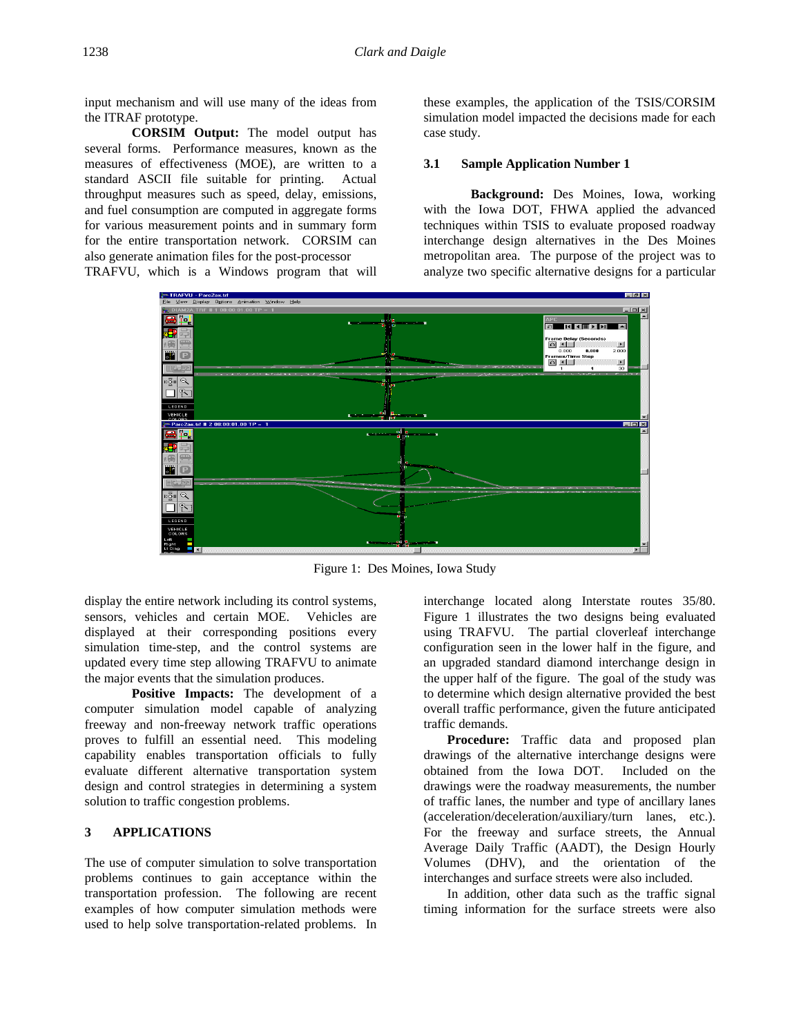input mechanism and will use many of the ideas from the ITRAF prototype.

**CORSIM Output:** The model output has several forms. Performance measures, known as the measures of effectiveness (MOE), are written to a standard ASCII file suitable for printing. Actual throughput measures such as speed, delay, emissions, and fuel consumption are computed in aggregate forms for various measurement points and in summary form for the entire transportation network. CORSIM can also generate animation files for the post-processor TRAFVU, which is a Windows program that will these examples, the application of the TSIS/CORSIM simulation model impacted the decisions made for each case study.

#### **3.1 Sample Application Number 1**

**Background:** Des Moines, Iowa, working with the Iowa DOT, FHWA applied the advanced techniques within TSIS to evaluate proposed roadway interchange design alternatives in the Des Moines metropolitan area. The purpose of the project was to analyze two specific alternative designs for a particular



Figure 1: Des Moines, Iowa Study

display the entire network including its control systems, sensors, vehicles and certain MOE. Vehicles are displayed at their corresponding positions every simulation time-step, and the control systems are updated every time step allowing TRAFVU to animate the major events that the simulation produces.

**Positive Impacts:** The development of a computer simulation model capable of analyzing freeway and non-freeway network traffic operations proves to fulfill an essential need. This modeling capability enables transportation officials to fully evaluate different alternative transportation system design and control strategies in determining a system solution to traffic congestion problems.

#### **3 APPLICATIONS**

The use of computer simulation to solve transportation problems continues to gain acceptance within the transportation profession. The following are recent examples of how computer simulation methods were used to help solve transportation-related problems. In interchange located along Interstate routes 35/80. Figure 1 illustrates the two designs being evaluated using TRAFVU. The partial cloverleaf interchange configuration seen in the lower half in the figure, and an upgraded standard diamond interchange design in the upper half of the figure. The goal of the study was to determine which design alternative provided the best overall traffic performance, given the future anticipated traffic demands.

**Procedure:** Traffic data and proposed plan drawings of the alternative interchange designs were obtained from the Iowa DOT. Included on the drawings were the roadway measurements, the number of traffic lanes, the number and type of ancillary lanes (acceleration/deceleration/auxiliary/turn lanes, etc.). For the freeway and surface streets, the Annual Average Daily Traffic (AADT), the Design Hourly Volumes (DHV), and the orientation of the interchanges and surface streets were also included.

In addition, other data such as the traffic signal timing information for the surface streets were also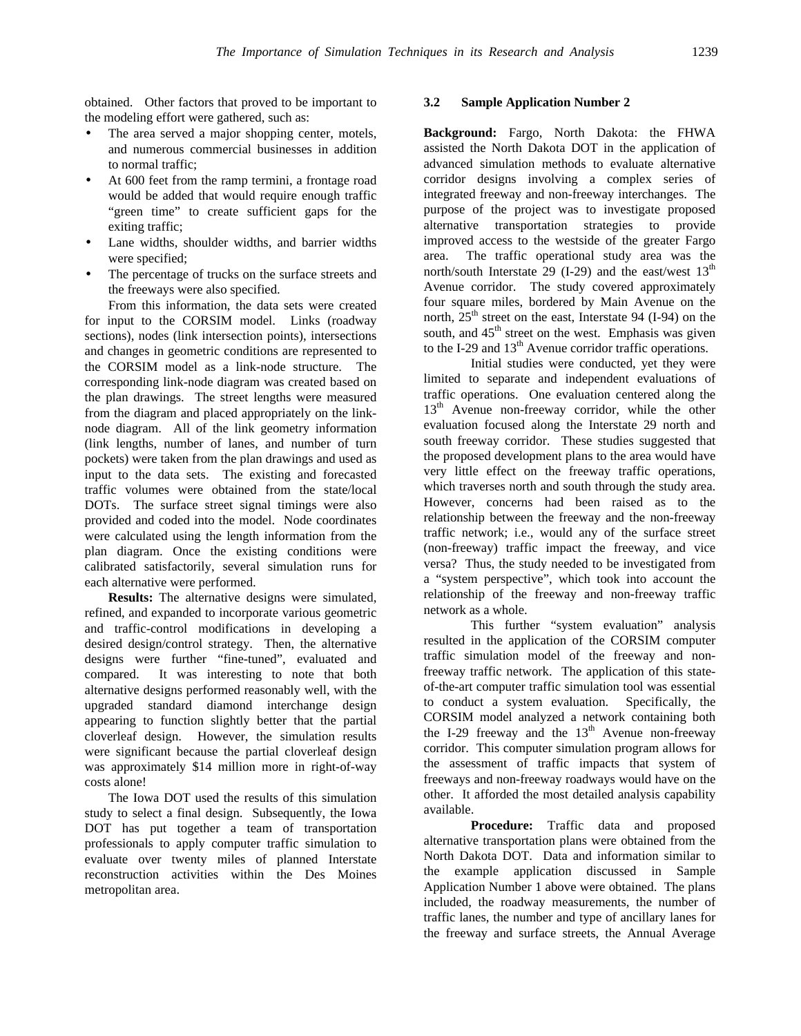obtained. Other factors that proved to be important to the modeling effort were gathered, such as:

- The area served a major shopping center, motels, and numerous commercial businesses in addition to normal traffic;
- At 600 feet from the ramp termini, a frontage road would be added that would require enough traffic "green time" to create sufficient gaps for the exiting traffic;
- Lane widths, shoulder widths, and barrier widths were specified;
- The percentage of trucks on the surface streets and the freeways were also specified.

From this information, the data sets were created for input to the CORSIM model. Links (roadway sections), nodes (link intersection points), intersections and changes in geometric conditions are represented to the CORSIM model as a link-node structure. The corresponding link-node diagram was created based on the plan drawings. The street lengths were measured from the diagram and placed appropriately on the linknode diagram. All of the link geometry information (link lengths, number of lanes, and number of turn pockets) were taken from the plan drawings and used as input to the data sets. The existing and forecasted traffic volumes were obtained from the state/local DOTs. The surface street signal timings were also provided and coded into the model. Node coordinates were calculated using the length information from the plan diagram. Once the existing conditions were calibrated satisfactorily, several simulation runs for each alternative were performed.

**Results:** The alternative designs were simulated, refined, and expanded to incorporate various geometric and traffic-control modifications in developing a desired design/control strategy. Then, the alternative designs were further "fine-tuned", evaluated and compared. It was interesting to note that both alternative designs performed reasonably well, with the upgraded standard diamond interchange design appearing to function slightly better that the partial cloverleaf design. However, the simulation results were significant because the partial cloverleaf design was approximately \$14 million more in right-of-way costs alone!

The Iowa DOT used the results of this simulation study to select a final design. Subsequently, the Iowa DOT has put together a team of transportation professionals to apply computer traffic simulation to evaluate over twenty miles of planned Interstate reconstruction activities within the Des Moines metropolitan area.

#### **3.2 Sample Application Number 2**

**Background:** Fargo, North Dakota: the FHWA assisted the North Dakota DOT in the application of advanced simulation methods to evaluate alternative corridor designs involving a complex series of integrated freeway and non-freeway interchanges. The purpose of the project was to investigate proposed alternative transportation strategies to provide improved access to the westside of the greater Fargo area. The traffic operational study area was the north/south Interstate 29 (I-29) and the east/west  $13<sup>th</sup>$ Avenue corridor. The study covered approximately four square miles, bordered by Main Avenue on the north,  $25<sup>th</sup>$  street on the east, Interstate 94 (I-94) on the south, and  $45<sup>th</sup>$  street on the west. Emphasis was given to the I-29 and  $13<sup>th</sup>$  Avenue corridor traffic operations.

Initial studies were conducted, yet they were limited to separate and independent evaluations of traffic operations. One evaluation centered along the 13<sup>th</sup> Avenue non-freeway corridor, while the other evaluation focused along the Interstate 29 north and south freeway corridor. These studies suggested that the proposed development plans to the area would have very little effect on the freeway traffic operations, which traverses north and south through the study area. However, concerns had been raised as to the relationship between the freeway and the non-freeway traffic network; i.e., would any of the surface street (non-freeway) traffic impact the freeway, and vice versa? Thus, the study needed to be investigated from a "system perspective", which took into account the relationship of the freeway and non-freeway traffic network as a whole.

This further "system evaluation" analysis resulted in the application of the CORSIM computer traffic simulation model of the freeway and nonfreeway traffic network. The application of this stateof-the-art computer traffic simulation tool was essential to conduct a system evaluation. Specifically, the CORSIM model analyzed a network containing both the I-29 freeway and the  $13<sup>th</sup>$  Avenue non-freeway corridor. This computer simulation program allows for the assessment of traffic impacts that system of freeways and non-freeway roadways would have on the other. It afforded the most detailed analysis capability available.

**Procedure:** Traffic data and proposed alternative transportation plans were obtained from the North Dakota DOT. Data and information similar to the example application discussed in Sample Application Number 1 above were obtained. The plans included, the roadway measurements, the number of traffic lanes, the number and type of ancillary lanes for the freeway and surface streets, the Annual Average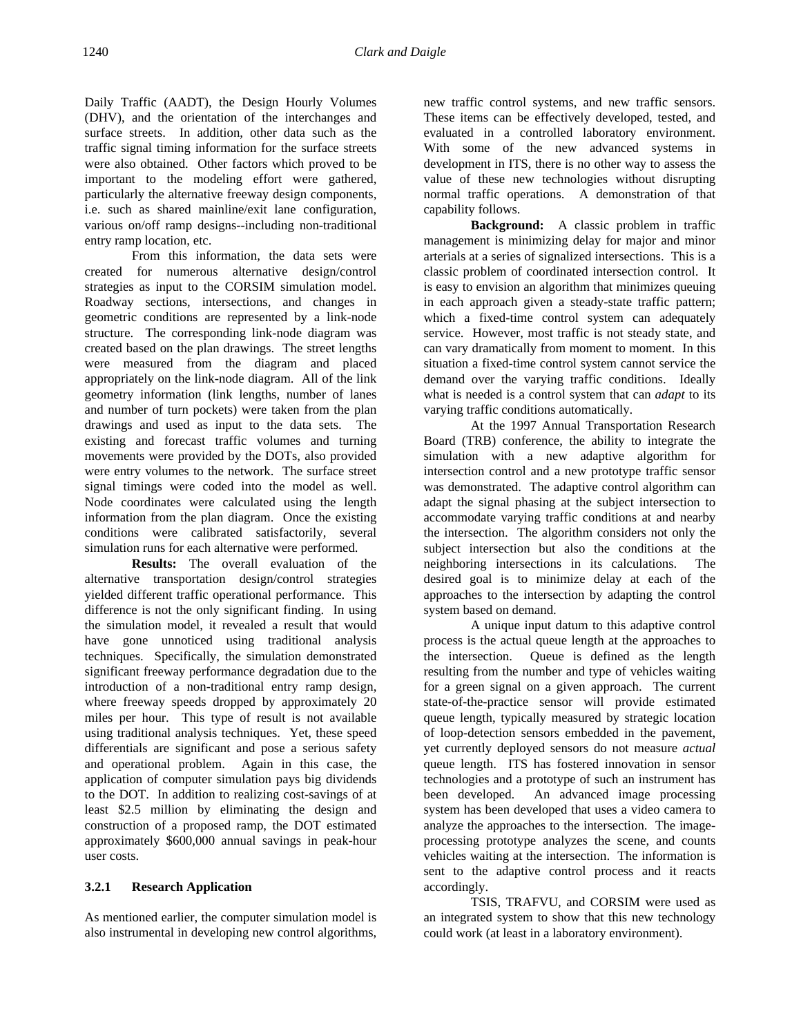Daily Traffic (AADT), the Design Hourly Volumes (DHV), and the orientation of the interchanges and surface streets. In addition, other data such as the traffic signal timing information for the surface streets were also obtained. Other factors which proved to be important to the modeling effort were gathered, particularly the alternative freeway design components, i.e. such as shared mainline/exit lane configuration, various on/off ramp designs--including non-traditional entry ramp location, etc.

From this information, the data sets were created for numerous alternative design/control strategies as input to the CORSIM simulation model. Roadway sections, intersections, and changes in geometric conditions are represented by a link-node structure. The corresponding link-node diagram was created based on the plan drawings. The street lengths were measured from the diagram and placed appropriately on the link-node diagram. All of the link geometry information (link lengths, number of lanes and number of turn pockets) were taken from the plan drawings and used as input to the data sets. The existing and forecast traffic volumes and turning movements were provided by the DOTs, also provided were entry volumes to the network. The surface street signal timings were coded into the model as well. Node coordinates were calculated using the length information from the plan diagram. Once the existing conditions were calibrated satisfactorily, several simulation runs for each alternative were performed.

**Results:** The overall evaluation of the alternative transportation design/control strategies yielded different traffic operational performance. This difference is not the only significant finding. In using the simulation model, it revealed a result that would have gone unnoticed using traditional analysis techniques. Specifically, the simulation demonstrated significant freeway performance degradation due to the introduction of a non-traditional entry ramp design, where freeway speeds dropped by approximately 20 miles per hour. This type of result is not available using traditional analysis techniques. Yet, these speed differentials are significant and pose a serious safety and operational problem. Again in this case, the application of computer simulation pays big dividends to the DOT. In addition to realizing cost-savings of at least \$2.5 million by eliminating the design and construction of a proposed ramp, the DOT estimated approximately \$600,000 annual savings in peak-hour user costs.

# **3.2.1 Research Application**

As mentioned earlier, the computer simulation model is also instrumental in developing new control algorithms, new traffic control systems, and new traffic sensors. These items can be effectively developed, tested, and evaluated in a controlled laboratory environment. With some of the new advanced systems in development in ITS, there is no other way to assess the value of these new technologies without disrupting normal traffic operations. A demonstration of that capability follows.

**Background:** A classic problem in traffic management is minimizing delay for major and minor arterials at a series of signalized intersections. This is a classic problem of coordinated intersection control. It is easy to envision an algorithm that minimizes queuing in each approach given a steady-state traffic pattern; which a fixed-time control system can adequately service. However, most traffic is not steady state, and can vary dramatically from moment to moment. In this situation a fixed-time control system cannot service the demand over the varying traffic conditions. Ideally what is needed is a control system that can *adapt* to its varying traffic conditions automatically.

At the 1997 Annual Transportation Research Board (TRB) conference, the ability to integrate the simulation with a new adaptive algorithm for intersection control and a new prototype traffic sensor was demonstrated. The adaptive control algorithm can adapt the signal phasing at the subject intersection to accommodate varying traffic conditions at and nearby the intersection. The algorithm considers not only the subject intersection but also the conditions at the neighboring intersections in its calculations. The desired goal is to minimize delay at each of the approaches to the intersection by adapting the control system based on demand.

A unique input datum to this adaptive control process is the actual queue length at the approaches to the intersection. Queue is defined as the length resulting from the number and type of vehicles waiting for a green signal on a given approach. The current state-of-the-practice sensor will provide estimated queue length, typically measured by strategic location of loop-detection sensors embedded in the pavement, yet currently deployed sensors do not measure *actual* queue length. ITS has fostered innovation in sensor technologies and a prototype of such an instrument has been developed. An advanced image processing system has been developed that uses a video camera to analyze the approaches to the intersection. The imageprocessing prototype analyzes the scene, and counts vehicles waiting at the intersection. The information is sent to the adaptive control process and it reacts accordingly.

TSIS, TRAFVU, and CORSIM were used as an integrated system to show that this new technology could work (at least in a laboratory environment).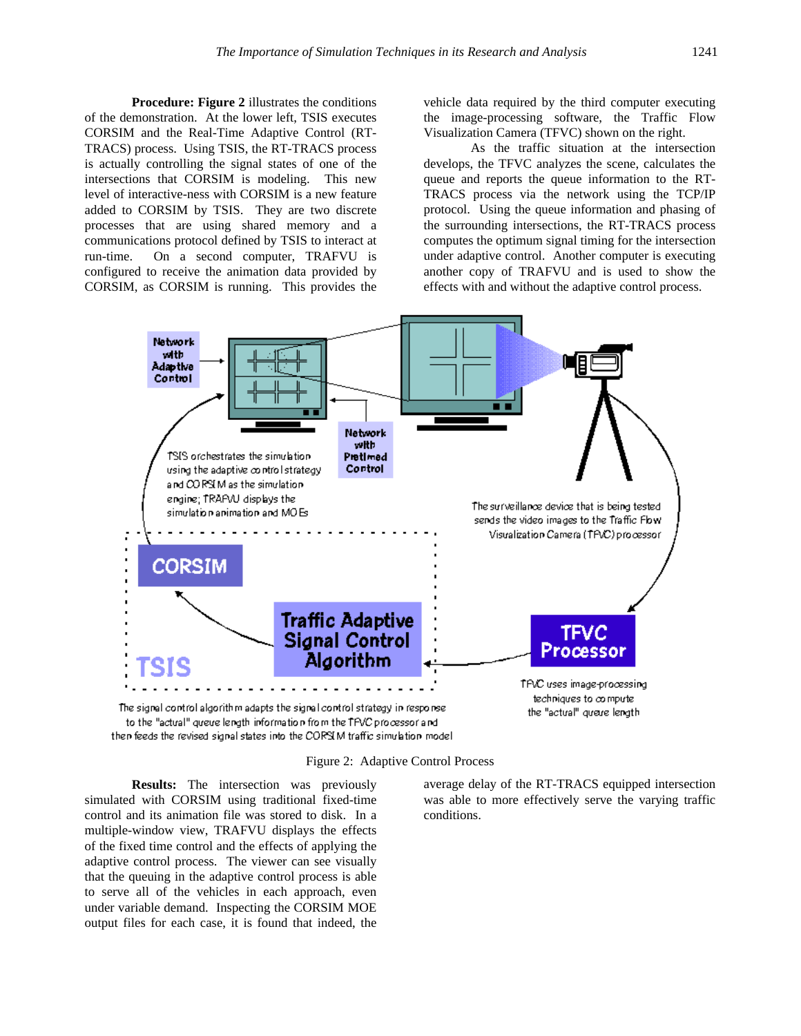**Procedure: Figure 2** illustrates the conditions of the demonstration. At the lower left, TSIS executes CORSIM and the Real-Time Adaptive Control (RT-TRACS) process. Using TSIS, the RT-TRACS process is actually controlling the signal states of one of the intersections that CORSIM is modeling. This new level of interactive-ness with CORSIM is a new feature added to CORSIM by TSIS. They are two discrete processes that are using shared memory and a communications protocol defined by TSIS to interact at run-time. On a second computer, TRAFVU is configured to receive the animation data provided by CORSIM, as CORSIM is running. This provides the vehicle data required by the third computer executing the image-processing software, the Traffic Flow Visualization Camera (TFVC) shown on the right.

As the traffic situation at the intersection develops, the TFVC analyzes the scene, calculates the queue and reports the queue information to the RT-TRACS process via the network using the TCP/IP protocol. Using the queue information and phasing of the surrounding intersections, the RT-TRACS process computes the optimum signal timing for the intersection under adaptive control. Another computer is executing another copy of TRAFVU and is used to show the effects with and without the adaptive control process.



to the "actual" gueue length information from the TFVC processor and then feeds the revised signal states into the CORSIM traffic simulation model

Figure 2: Adaptive Control Process

**Results:** The intersection was previously simulated with CORSIM using traditional fixed-time control and its animation file was stored to disk. In a multiple-window view, TRAFVU displays the effects of the fixed time control and the effects of applying the adaptive control process. The viewer can see visually that the queuing in the adaptive control process is able to serve all of the vehicles in each approach, even under variable demand. Inspecting the CORSIM MOE output files for each case, it is found that indeed, the average delay of the RT-TRACS equipped intersection was able to more effectively serve the varying traffic conditions.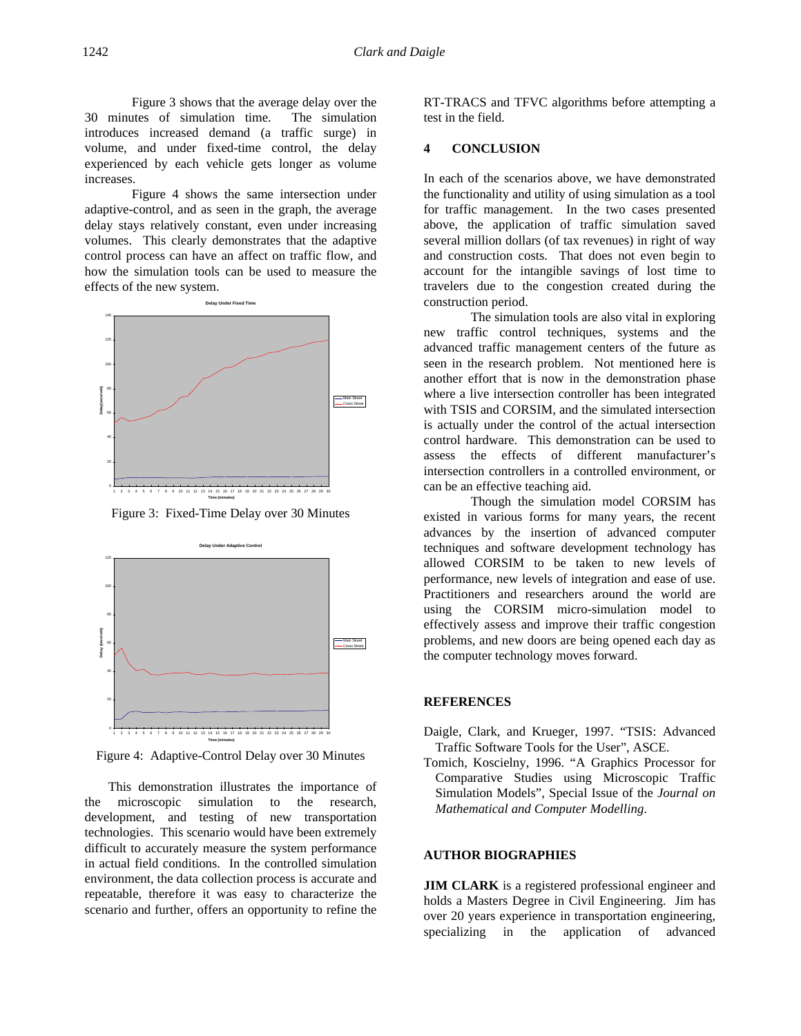Figure 3 shows that the average delay over the 30 minutes of simulation time. The simulation introduces increased demand (a traffic surge) in volume, and under fixed-time control, the delay experienced by each vehicle gets longer as volume increases.

Figure 4 shows the same intersection under adaptive-control, and as seen in the graph, the average delay stays relatively constant, even under increasing volumes. This clearly demonstrates that the adaptive control process can have an affect on traffic flow, and how the simulation tools can be used to measure the effects of the new system.



Figure 3: Fixed-Time Delay over 30 Minutes



Figure 4: Adaptive-Control Delay over 30 Minutes

This demonstration illustrates the importance of the microscopic simulation to the research, development, and testing of new transportation technologies. This scenario would have been extremely difficult to accurately measure the system performance in actual field conditions. In the controlled simulation environment, the data collection process is accurate and repeatable, therefore it was easy to characterize the scenario and further, offers an opportunity to refine the RT-TRACS and TFVC algorithms before attempting a test in the field.

#### **4 CONCLUSION**

In each of the scenarios above, we have demonstrated the functionality and utility of using simulation as a tool for traffic management. In the two cases presented above, the application of traffic simulation saved several million dollars (of tax revenues) in right of way and construction costs. That does not even begin to account for the intangible savings of lost time to travelers due to the congestion created during the construction period.

The simulation tools are also vital in exploring new traffic control techniques, systems and the advanced traffic management centers of the future as seen in the research problem. Not mentioned here is another effort that is now in the demonstration phase where a live intersection controller has been integrated with TSIS and CORSIM, and the simulated intersection is actually under the control of the actual intersection control hardware. This demonstration can be used to assess the effects of different manufacturer's intersection controllers in a controlled environment, or can be an effective teaching aid.

Though the simulation model CORSIM has existed in various forms for many years, the recent advances by the insertion of advanced computer techniques and software development technology has allowed CORSIM to be taken to new levels of performance, new levels of integration and ease of use. Practitioners and researchers around the world are using the CORSIM micro-simulation model to effectively assess and improve their traffic congestion problems, and new doors are being opened each day as the computer technology moves forward.

#### **REFERENCES**

- Daigle, Clark, and Krueger, 1997. "TSIS: Advanced Traffic Software Tools for the User", ASCE.
- Tomich, Koscielny, 1996. "A Graphics Processor for Comparative Studies using Microscopic Traffic Simulation Models", Special Issue of the *Journal on Mathematical and Computer Modelling*.

### **AUTHOR BIOGRAPHIES**

**JIM CLARK** is a registered professional engineer and holds a Masters Degree in Civil Engineering. Jim has over 20 years experience in transportation engineering, specializing in the application of advanced